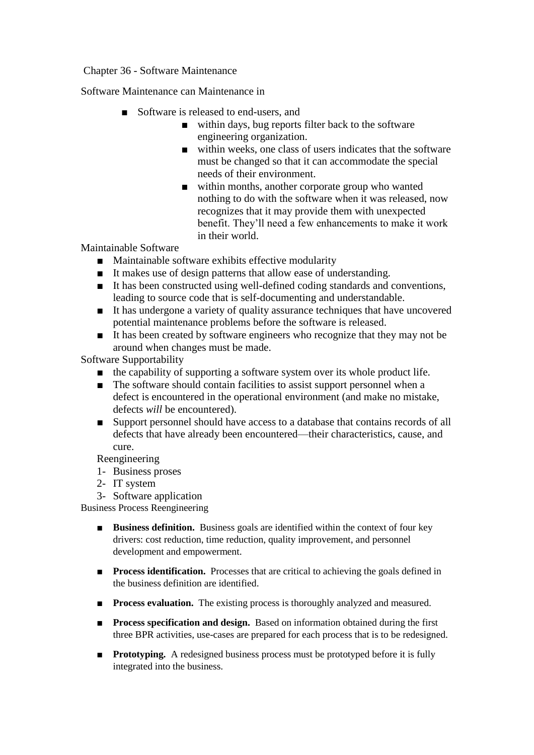Chapter 36 - Software Maintenance

Software Maintenance can Maintenance in

- Software is released to end-users, and
	- within days, bug reports filter back to the software engineering organization.
	- within weeks, one class of users indicates that the software must be changed so that it can accommodate the special needs of their environment.
	- within months, another corporate group who wanted nothing to do with the software when it was released, now recognizes that it may provide them with unexpected benefit. They'll need a few enhancements to make it work in their world.

## Maintainable Software

- Maintainable software exhibits effective modularity
- It makes use of design patterns that allow ease of understanding.
- It has been constructed using well-defined coding standards and conventions, leading to source code that is self-documenting and understandable.
- It has undergone a variety of quality assurance techniques that have uncovered potential maintenance problems before the software is released.
- It has been created by software engineers who recognize that they may not be around when changes must be made.

Software Supportability

- the capability of supporting a software system over its whole product life.
- The software should contain facilities to assist support personnel when a defect is encountered in the operational environment (and make no mistake, defects *will* be encountered).
- Support personnel should have access to a database that contains records of all defects that have already been encountered—their characteristics, cause, and cure.

Reengineering

- 1- Business proses
- 2- IT system
- 3- Software application

Business Process Reengineering

- **Business definition.** Business goals are identified within the context of four key drivers: cost reduction, time reduction, quality improvement, and personnel development and empowerment.
- **Process identification.** Processes that are critical to achieving the goals defined in the business definition are identified.
- **Process evaluation.** The existing process is thoroughly analyzed and measured.
- **Process specification and design.** Based on information obtained during the first three BPR activities, use-cases are prepared for each process that is to be redesigned.
- **Prototyping.** A redesigned business process must be prototyped before it is fully integrated into the business.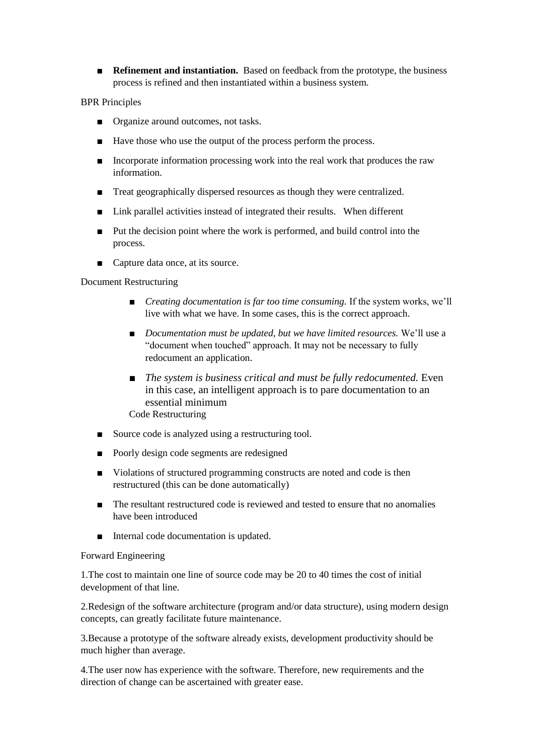■ **Refinement and instantiation.** Based on feedback from the prototype, the business process is refined and then instantiated within a business system.

BPR Principles

- Organize around outcomes, not tasks.
- Have those who use the output of the process perform the process.
- Incorporate information processing work into the real work that produces the raw information.
- Treat geographically dispersed resources as though they were centralized.
- Link parallel activities instead of integrated their results. When different
- Put the decision point where the work is performed, and build control into the process.
- Capture data once, at its source.

Document Restructuring

- *Creating documentation is far too time consuming.* If the system works, we'll live with what we have. In some cases, this is the correct approach.
- *Documentation must be updated, but we have limited resources.* We'll use a "document when touched" approach. It may not be necessary to fully redocument an application.
- *The system is business critical and must be fully redocumented.* Even in this case, an intelligent approach is to pare documentation to an essential minimum Code Restructuring
- Source code is analyzed using a restructuring tool.
- Poorly design code segments are redesigned
- Violations of structured programming constructs are noted and code is then restructured (this can be done automatically)
- The resultant restructured code is reviewed and tested to ensure that no anomalies have been introduced
- Internal code documentation is updated.

## Forward Engineering

1.The cost to maintain one line of source code may be 20 to 40 times the cost of initial development of that line.

2.Redesign of the software architecture (program and/or data structure), using modern design concepts, can greatly facilitate future maintenance.

3.Because a prototype of the software already exists, development productivity should be much higher than average.

4.The user now has experience with the software. Therefore, new requirements and the direction of change can be ascertained with greater ease.